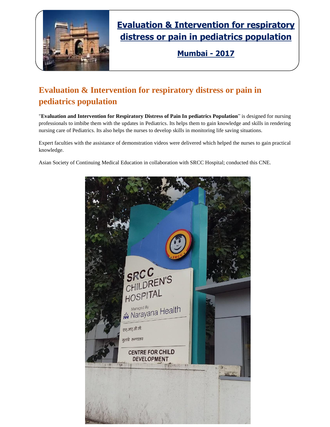

# **Evaluation & Intervention for respiratory distress or pain in pediatrics population**

**Mumbai - 2017**

### **Evaluation & Intervention for respiratory distress or pain in pediatrics population**

"**Evaluation and Intervention for Respiratory Distress of Pain In pediatrics Population**" is designed for nursing professionals to imbibe them with the updates in Pediatrics. Its helps them to gain knowledge and skills in rendering nursing care of Pediatrics. Its also helps the nurses to develop skills in monitoring life saving situations.

Expert faculties with the assistance of demonstration videos were delivered which helped the nurses to gain practical knowledge.

Asian Society of Continuing Medical Education in collaboration with SRCC Hospital; conducted this CNE.

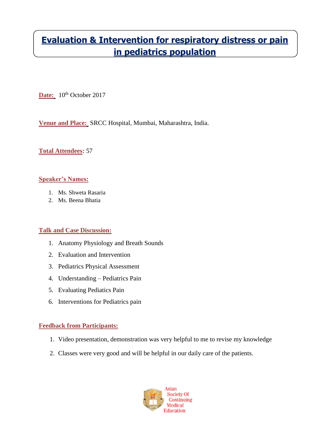## **Evaluation & Intervention for respiratory distress or pain in pediatrics population**

Date:  $10^{th}$  October 2017

**Venue and Place:** SRCC Hospital, Mumbai, Maharashtra, India.

#### **Total Attendees:** 57

#### **Speaker's Names:**

- 1. Ms. Shweta Rasaria
- 2. Ms. Beena Bhatia

#### **Talk and Case Discussion:**

- 1. Anatomy Physiology and Breath Sounds
- 2. Evaluation and Intervention
- 3. Pediatrics Physical Assessment
- 4. Understanding Pediatrics Pain
- 5. Evaluating Pediatics Pain
- 6. Interventions for Pediatrics pain

#### **Feedback from Participants:**

- 1. Video presentation, demonstration was very helpful to me to revise my knowledge
- 2. Classes were very good and will be helpful in our daily care of the patients.